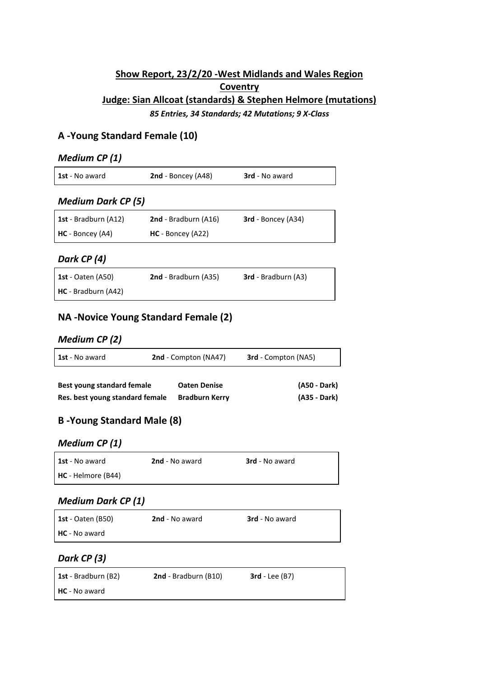## **Show Report, 23/2/20 -West Midlands and Wales Region Coventry Judge: Sian Allcoat (standards) & Stephen Helmore (mutations)** *85 Entries, 34 Standards; 42 Mutations; 9 X-Class*

### **A -Young Standard Female (10)**

#### *Medium CP (1)*

| <b>1st</b> - No award | <b>2nd</b> - Boncey (A48) | <b>3rd</b> - No award |
|-----------------------|---------------------------|-----------------------|
|                       |                           |                       |

#### *Medium Dark CP (5)*

| <b>1st</b> - Bradburn (A12) | 2nd - Bradburn (A16) | <b>3rd</b> - Boncey (A34) |
|-----------------------------|----------------------|---------------------------|
| <b>HC</b> - Boncey (A4)     | $HC - Boncev (A22)$  |                           |

### *Dark CP (4)*

| <b>1st</b> - Oaten (A50) | 2nd - Bradburn (A35) | <b>3rd</b> - Bradburn (A3) |
|--------------------------|----------------------|----------------------------|
| HC - Bradburn (A42)      |                      |                            |

## **NA -Novice Young Standard Female (2)**

#### *Medium CP (2)*

| <b>1st</b> - No award | <b>2nd</b> - Compton (NA47) | <b>3rd</b> - Compton (NA5)                                            |  |
|-----------------------|-----------------------------|-----------------------------------------------------------------------|--|
| .                     | .                           | $\mathbf{1} \bullet \mathbf{1} \bullet \mathbf{1} \bullet \mathbf{1}$ |  |

| Best young standard female      | <b>Oaten Denise</b>   | (A50 - Dark) |
|---------------------------------|-----------------------|--------------|
| Res. best young standard female | <b>Bradburn Kerry</b> | (A35 - Dark) |

## **B -Young Standard Male (8)**

#### *Medium CP (1)*

| <b>1st</b> - No award     | <b>2nd</b> - No award | <b>3rd</b> - No award |
|---------------------------|-----------------------|-----------------------|
| <b>HC</b> - Helmore (B44) |                       |                       |

### *Medium Dark CP (1)*

| <b>1st</b> - Oaten (B50) | <b>2nd</b> - No award | <b>3rd</b> - No award |
|--------------------------|-----------------------|-----------------------|
| <b>HC</b> - No award     |                       |                       |

### *Dark CP (3)*

| <b>1st</b> - Bradburn (B2) | <b>2nd</b> - Bradburn (B10) | $3rd$ - Lee $(B7)$ |
|----------------------------|-----------------------------|--------------------|
| <b>HC</b> - No award       |                             |                    |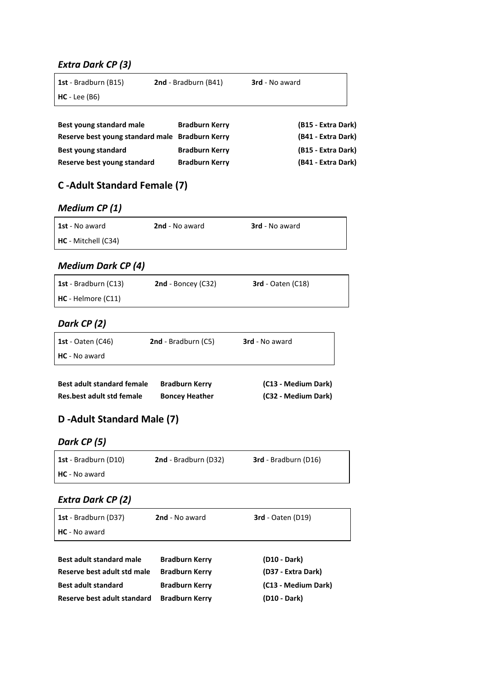### *Extra Dark CP (3)*

| <b>1st</b> - Bradburn (B15)                      | 2nd - Bradburn (B41)  | <b>3rd</b> - No award  |
|--------------------------------------------------|-----------------------|------------------------|
| $HC - Lee (B6)$                                  |                       |                        |
|                                                  |                       |                        |
| Best young standard male                         | <b>Bradburn Kerry</b> | (B15 - Extra Dark)     |
| Bocorus host voung standard male. Bradhurn Karni |                       | Evten Doeld<br>1 D A 1 |

| Reserve best young standard male Bradburn Kerry |                       | (B41 - Extra Dark) |
|-------------------------------------------------|-----------------------|--------------------|
| Best young standard                             | <b>Bradburn Kerry</b> | (B15 - Extra Dark) |
| Reserve best young standard                     | <b>Bradburn Kerry</b> | (B41 - Extra Dark) |

# **C -Adult Standard Female (7)**

## *Medium CP (1)*

| <b>1st</b> - No award | <b>2nd</b> - No award | <b>3rd</b> - No award |
|-----------------------|-----------------------|-----------------------|
| HC - Mitchell (C34)   |                       |                       |

## *Medium Dark CP (4)*

| <b>1st</b> - Bradburn (C13) | <b>2nd</b> - Boncey $(C32)$ | $3rd$ - Oaten (C18) |
|-----------------------------|-----------------------------|---------------------|
| <b>HC</b> - Helmore (C11)   |                             |                     |

## *Dark CP (2)*

| <b>1st</b> - Oaten (C46) | <b>2nd</b> - Bradburn $(C5)$ | <b>3rd</b> - No award |
|--------------------------|------------------------------|-----------------------|
| <b>HC</b> - No award     |                              |                       |

| <b>Best adult standard female</b> | <b>Bradburn Kerry</b> | (C13 - Medium Dark) |
|-----------------------------------|-----------------------|---------------------|
| Res.best adult std female         | <b>Boncey Heather</b> | (C32 - Medium Dark) |

## **D -Adult Standard Male (7)**

## *Dark CP (5)*

| <b>1st</b> - Bradburn (D10) | <b>2nd</b> - Bradburn (D32) | <b>3rd</b> - Bradburn (D16) |
|-----------------------------|-----------------------------|-----------------------------|
| <b>HC</b> - No award        |                             |                             |

#### *Extra Dark CP (2)*

| <b>1st</b> - Bradburn (D37) | <b>2nd</b> - No award | <b>3rd</b> - Oaten (D19) |
|-----------------------------|-----------------------|--------------------------|
| <b>HC</b> - No award        |                       |                          |
|                             |                       |                          |

| <b>Best adult standard male</b> | <b>Bradburn Kerry</b> | (D10 - Dark)             |
|---------------------------------|-----------------------|--------------------------|
| Reserve best adult std male     | <b>Bradburn Kerry</b> | (D37 - Extra Dark)       |
| <b>Best adult standard</b>      | <b>Bradburn Kerry</b> | (C13 - Medium Dark)      |
| Reserve best adult standard     | <b>Bradburn Kerry</b> | (D <sub>10</sub> - Dark) |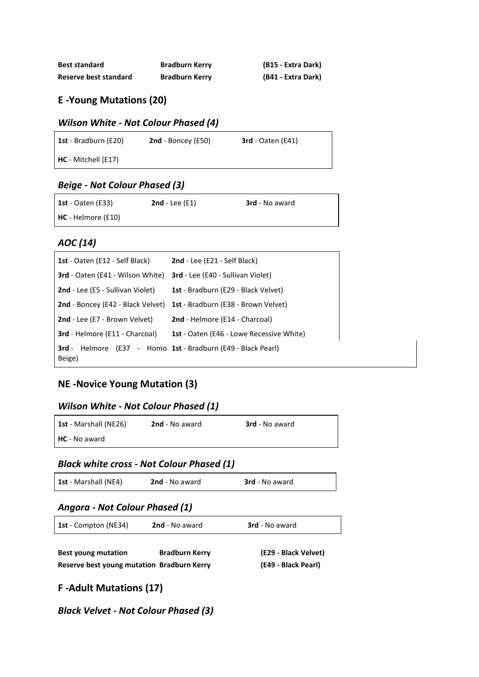| <b>Best standard</b>  | <b>Bradburn Kerry</b> | (B15 - Extra Dark) |
|-----------------------|-----------------------|--------------------|
| Reserve best standard | <b>Bradburn Kerry</b> | (B41 - Extra Dark) |

### **E -Young Mutations (20)**

#### *Wilson White - Not Colour Phased (4)*

| <b>1st</b> - Bradburn (E20) | <b>2nd</b> - Boncey (E50) | $3rd$ - Oaten (E41) |
|-----------------------------|---------------------------|---------------------|
| HC - Mitchell (E17)         |                           |                     |

#### *Beige - Not Colour Phased (3)*

| <b>1st</b> - Oaten (E33) | <b>2nd</b> - Lee $(E1)$ | <b>3rd</b> - No award |
|--------------------------|-------------------------|-----------------------|
| $HC - Helmore (E10)$     |                         |                       |

#### *AOC (14)*

| <b>1st</b> - Oaten (E12 - Self Black)   | <b>2nd</b> - Lee (E21 - Self Black)                    |
|-----------------------------------------|--------------------------------------------------------|
| <b>3rd</b> - Oaten (E41 - Wilson White) | <b>3rd</b> - Lee (E40 - Sullivan Violet)               |
| <b>2nd</b> - Lee (E5 - Sullivan Violet) | <b>1st</b> - Bradburn (E29 - Black Velvet)             |
| 2nd - Boncey (E42 - Black Velvet)       | <b>1st</b> - Bradburn (E38 - Brown Velvet)             |
| 2nd - Lee (E7 - Brown Velvet)           | <b>2nd</b> - Helmore (E14 - Charcoal)                  |
| <b>3rd</b> - Helmore (E11 - Charcoal)   | 1st - Oaten (E46 - Lowe Recessive White)               |
| 3rd -<br>Beige)                         | Helmore (E37 - Homo 1st - Bradburn (E49 - Black Pearl) |

## **NE -Novice Young Mutation (3)**

#### *Wilson White - Not Colour Phased (1)*

| <b>1st</b> - Marshall (NE26) | <b>2nd</b> - No award | <b>3rd</b> - No award |
|------------------------------|-----------------------|-----------------------|
| <b>HC</b> - No award         |                       |                       |

## *Black white cross - Not Colour Phased (1)*

| 1st - Marshall (NE4) | 2nd - No award | <b>3rd</b> - No award |
|----------------------|----------------|-----------------------|
|                      |                |                       |

#### *Angora - Not Colour Phased (1)*

| <b>1st</b> - Compton (NE34) | 2nd - No award | <b>3rd</b> - No award |  |
|-----------------------------|----------------|-----------------------|--|
|-----------------------------|----------------|-----------------------|--|

| <b>Best young mutation</b>                 | <b>Bradburn Kerry</b> | (E29 - Black Velvet) |
|--------------------------------------------|-----------------------|----------------------|
| Reserve best young mutation Bradburn Kerry |                       | (E49 - Black Pearl)  |

## **F -Adult Mutations (17)**

*Black Velvet - Not Colour Phased (3)*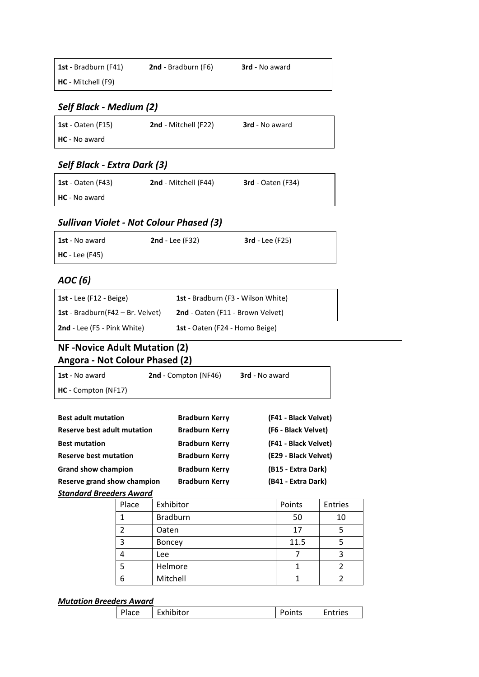| <b>1st</b> - Bradburn (F41) | <b>2nd</b> - Bradburn (F6) | <b>3rd</b> - No award |
|-----------------------------|----------------------------|-----------------------|
| <b>HC</b> - Mitchell (F9)   |                            |                       |

#### *Self Black - Medium (2)*

| <b>1st</b> - Oaten (F15) | <b>2nd</b> - Mitchell (F22) | <b>3rd</b> - No award |
|--------------------------|-----------------------------|-----------------------|
| <b>HC</b> - No award     |                             |                       |

## *Self Black - Extra Dark (3)*

| <b>1st</b> - Oaten (F43) | <b>2nd</b> - Mitchell (F44) | <b>3rd</b> - Oaten (F34) |
|--------------------------|-----------------------------|--------------------------|
| <b>HC</b> - No award     |                             |                          |

## *Sullivan Violet - Not Colour Phased (3)*

| <b>1st</b> - No award | 2nd - Lee $(F32)$ | $3rd$ - Lee (F25) |
|-----------------------|-------------------|-------------------|
| $HC$ - Lee (F45)      |                   |                   |

#### *AOC (6)*

| 1st - Lee (F12 - Beige)                     | <b>1st</b> - Bradburn (F3 - Wilson White) |
|---------------------------------------------|-------------------------------------------|
| <b>1st</b> - Bradburn( $F42 - Br$ . Velvet) | 2nd - Oaten (F11 - Brown Velvet)          |
| <b>2nd</b> - Lee (F5 - Pink White)          | 1st - Oaten (F24 - Homo Beige)            |

## **NF -Novice Adult Mutation (2) Angora - Not Colour Phased (2)**

| 1st - No award                     | 2nd - Compton (NF46)  | <b>3rd</b> - No award |
|------------------------------------|-----------------------|-----------------------|
| HC - Compton (NF17)                |                       |                       |
|                                    |                       |                       |
| <b>Best adult mutation</b>         | <b>Bradburn Kerry</b> | (F41 - Black Velvet)  |
| <b>Reserve best adult mutation</b> | <b>Bradburn Kerry</b> | (F6 - Black Velvet)   |
| <b>Best mutation</b>               | <b>Bradburn Kerry</b> | (F41 - Black Velvet)  |
| <b>Reserve best mutation</b>       | <b>Bradburn Kerry</b> | (E29 - Black Velvet)  |
| <b>Grand show champion</b>         | <b>Bradburn Kerry</b> | (B15 - Extra Dark)    |
| Reserve grand show champion        | <b>Bradburn Kerry</b> | (B41 - Extra Dark)    |

#### *Standard Breeders Award*

| Place | Exhibitor       | Points | Entries |
|-------|-----------------|--------|---------|
|       | <b>Bradburn</b> | 50     | 10      |
| っ     | Oaten           | 17     | 5       |
| 3     | <b>Boncey</b>   | 11.5   |         |
| 4     | Lee             |        | 3       |
| 5     | Helmore         |        |         |
| 6     | Mitchell        |        |         |

#### *Mutation Breeders Award*

| Place | -<br>Exhibitor | oints' | <b>ntries</b> |
|-------|----------------|--------|---------------|
|       |                |        |               |